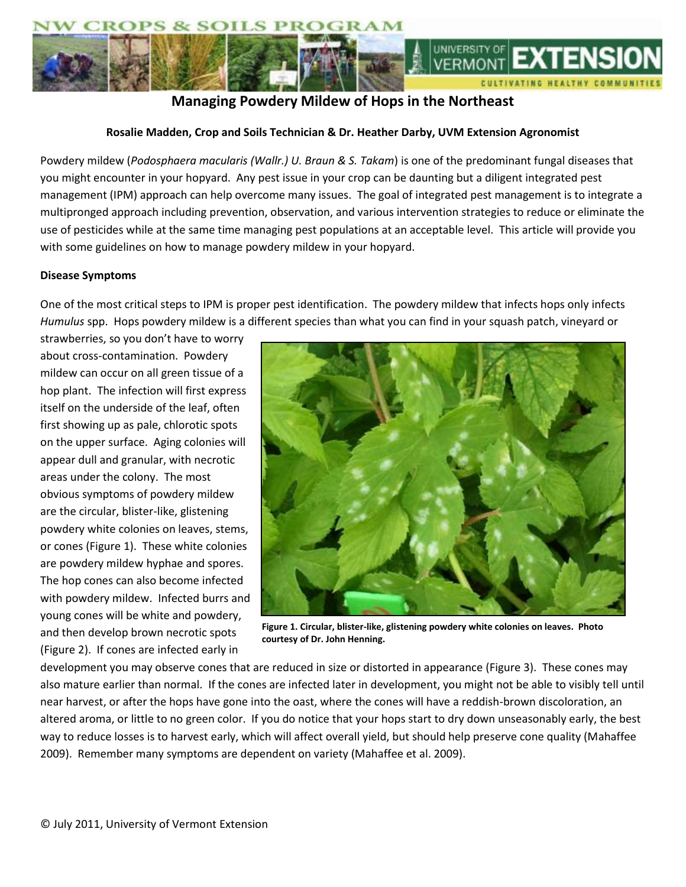

# **Managing Powdery Mildew of Hops in the Northeast**

### **Rosalie Madden, Crop and Soils Technician & Dr. Heather Darby, UVM Extension Agronomist**

Powdery mildew (*Podosphaera macularis (Wallr.) U. Braun & S. Takam*) is one of the predominant fungal diseases that you might encounter in your hopyard. Any pest issue in your crop can be daunting but a diligent integrated pest management (IPM) approach can help overcome many issues. The goal of integrated pest management is to integrate a multipronged approach including prevention, observation, and various intervention strategies to reduce or eliminate the use of pesticides while at the same time managing pest populations at an acceptable level. This article will provide you with some guidelines on how to manage powdery mildew in your hopyard.

### **Disease Symptoms**

One of the most critical steps to IPM is proper pest identification. The powdery mildew that infects hops only infects *Humulus* spp. Hops powdery mildew is a different species than what you can find in your squash patch, vineyard or

strawberries, so you don't have to worry about cross-contamination. Powdery mildew can occur on all green tissue of a hop plant. The infection will first express itself on the underside of the leaf, often first showing up as pale, chlorotic spots on the upper surface. Aging colonies will appear dull and granular, with necrotic areas under the colony. The most obvious symptoms of powdery mildew are the circular, blister-like, glistening powdery white colonies on leaves, stems, or cones (Figure 1). These white colonies are powdery mildew hyphae and spores. The hop cones can also become infected with powdery mildew. Infected burrs and young cones will be white and powdery, and then develop brown necrotic spots (Figure 2). If cones are infected early in



**Figure 1. Circular, blister-like, glistening powdery white colonies on leaves. Photo courtesy of Dr. John Henning.**

development you may observe cones that are reduced in size or distorted in appearance (Figure 3). These cones may also mature earlier than normal. If the cones are infected later in development, you might not be able to visibly tell until near harvest, or after the hops have gone into the oast, where the cones will have a reddish-brown discoloration, an altered aroma, or little to no green color. If you do notice that your hops start to dry down unseasonably early, the best way to reduce losses is to harvest early, which will affect overall yield, but should help preserve cone quality (Mahaffee 2009). Remember many symptoms are dependent on variety (Mahaffee et al. 2009).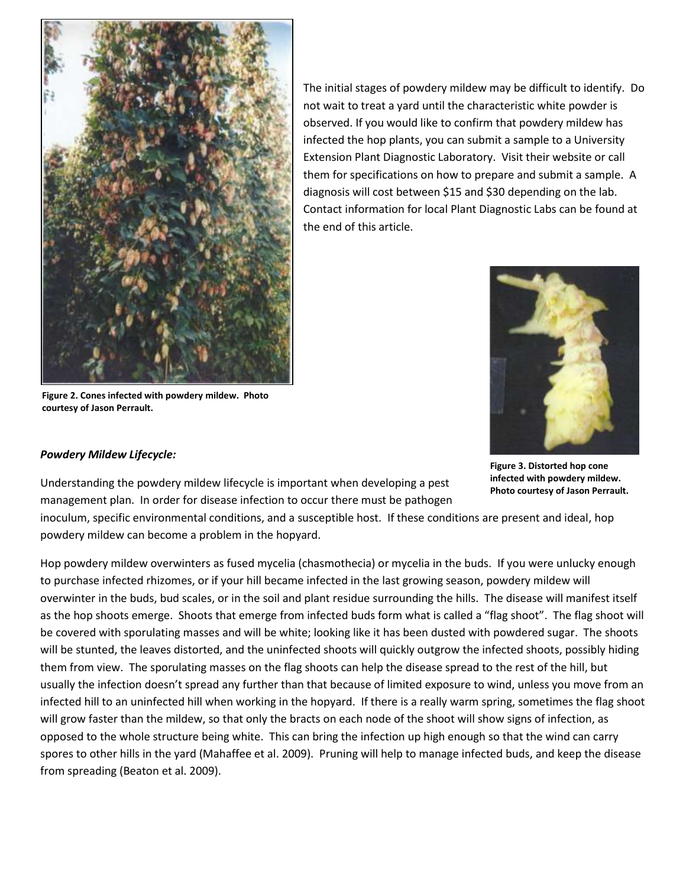

The initial stages of powdery mildew may be difficult to identify. Do not wait to treat a yard until the characteristic white powder is observed. If you would like to confirm that powdery mildew has infected the hop plants, you can submit a sample to a University Extension Plant Diagnostic Laboratory. Visit their website or call them for specifications on how to prepare and submit a sample. A diagnosis will cost between \$15 and \$30 depending on the lab. Contact information for local Plant Diagnostic Labs can be found at the end of this article.

**Figure 2. Cones infected with powdery mildew. Photo courtesy of Jason Perrault.**

**Figure 3. Distorted hop cone infected with powdery mildew. Photo courtesy of Jason Perrault.**

## *Powdery Mildew Lifecycle:*

Understanding the powdery mildew lifecycle is important when developing a pest management plan. In order for disease infection to occur there must be pathogen

inoculum, specific environmental conditions, and a susceptible host. If these conditions are present and ideal, hop powdery mildew can become a problem in the hopyard.

Hop powdery mildew overwinters as fused mycelia (chasmothecia) or mycelia in the buds. If you were unlucky enough to purchase infected rhizomes, or if your hill became infected in the last growing season, powdery mildew will overwinter in the buds, bud scales, or in the soil and plant residue surrounding the hills. The disease will manifest itself as the hop shoots emerge. Shoots that emerge from infected buds form what is called a "flag shoot". The flag shoot will be covered with sporulating masses and will be white; looking like it has been dusted with powdered sugar. The shoots will be stunted, the leaves distorted, and the uninfected shoots will quickly outgrow the infected shoots, possibly hiding them from view. The sporulating masses on the flag shoots can help the disease spread to the rest of the hill, but usually the infection doesn't spread any further than that because of limited exposure to wind, unless you move from an infected hill to an uninfected hill when working in the hopyard. If there is a really warm spring, sometimes the flag shoot will grow faster than the mildew, so that only the bracts on each node of the shoot will show signs of infection, as opposed to the whole structure being white. This can bring the infection up high enough so that the wind can carry spores to other hills in the yard (Mahaffee et al. 2009). Pruning will help to manage infected buds, and keep the disease from spreading (Beaton et al. 2009).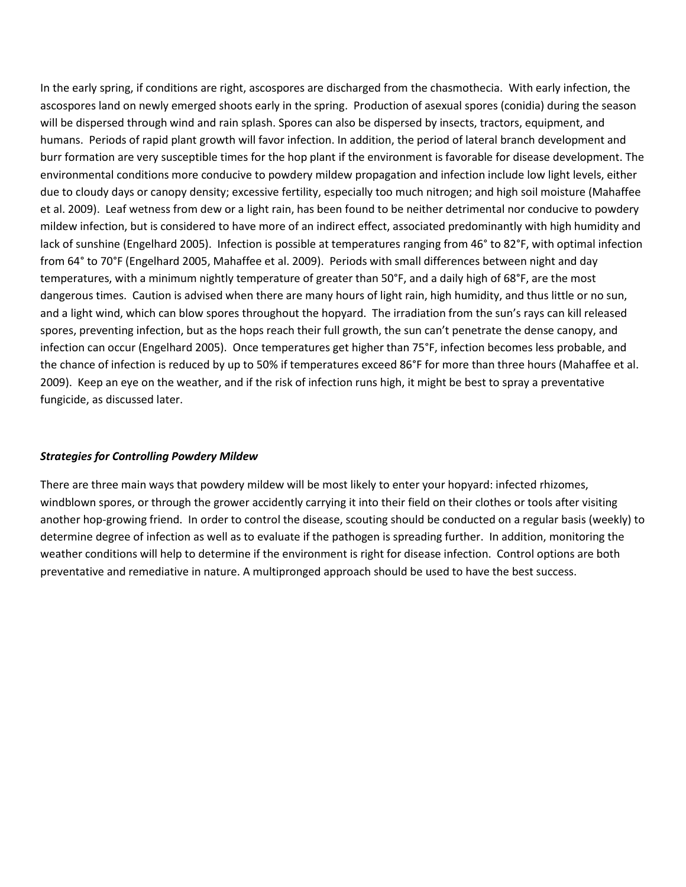In the early spring, if conditions are right, ascospores are discharged from the chasmothecia. With early infection, the ascospores land on newly emerged shoots early in the spring. Production of asexual spores (conidia) during the season will be dispersed through wind and rain splash. Spores can also be dispersed by insects, tractors, equipment, and humans. Periods of rapid plant growth will favor infection. In addition, the period of lateral branch development and burr formation are very susceptible times for the hop plant if the environment is favorable for disease development. The environmental conditions more conducive to powdery mildew propagation and infection include low light levels, either due to cloudy days or canopy density; excessive fertility, especially too much nitrogen; and high soil moisture (Mahaffee et al. 2009). Leaf wetness from dew or a light rain, has been found to be neither detrimental nor conducive to powdery mildew infection, but is considered to have more of an indirect effect, associated predominantly with high humidity and lack of sunshine (Engelhard 2005). Infection is possible at temperatures ranging from 46° to 82°F, with optimal infection from 64° to 70°F (Engelhard 2005, Mahaffee et al. 2009). Periods with small differences between night and day temperatures, with a minimum nightly temperature of greater than 50°F, and a daily high of 68°F, are the most dangerous times. Caution is advised when there are many hours of light rain, high humidity, and thus little or no sun, and a light wind, which can blow spores throughout the hopyard. The irradiation from the sun's rays can kill released spores, preventing infection, but as the hops reach their full growth, the sun can't penetrate the dense canopy, and infection can occur (Engelhard 2005). Once temperatures get higher than 75°F, infection becomes less probable, and the chance of infection is reduced by up to 50% if temperatures exceed 86°F for more than three hours (Mahaffee et al. 2009). Keep an eye on the weather, and if the risk of infection runs high, it might be best to spray a preventative fungicide, as discussed later.

### *Strategies for Controlling Powdery Mildew*

There are three main ways that powdery mildew will be most likely to enter your hopyard: infected rhizomes, windblown spores, or through the grower accidently carrying it into their field on their clothes or tools after visiting another hop-growing friend. In order to control the disease, scouting should be conducted on a regular basis (weekly) to determine degree of infection as well as to evaluate if the pathogen is spreading further. In addition, monitoring the weather conditions will help to determine if the environment is right for disease infection. Control options are both preventative and remediative in nature. A multipronged approach should be used to have the best success.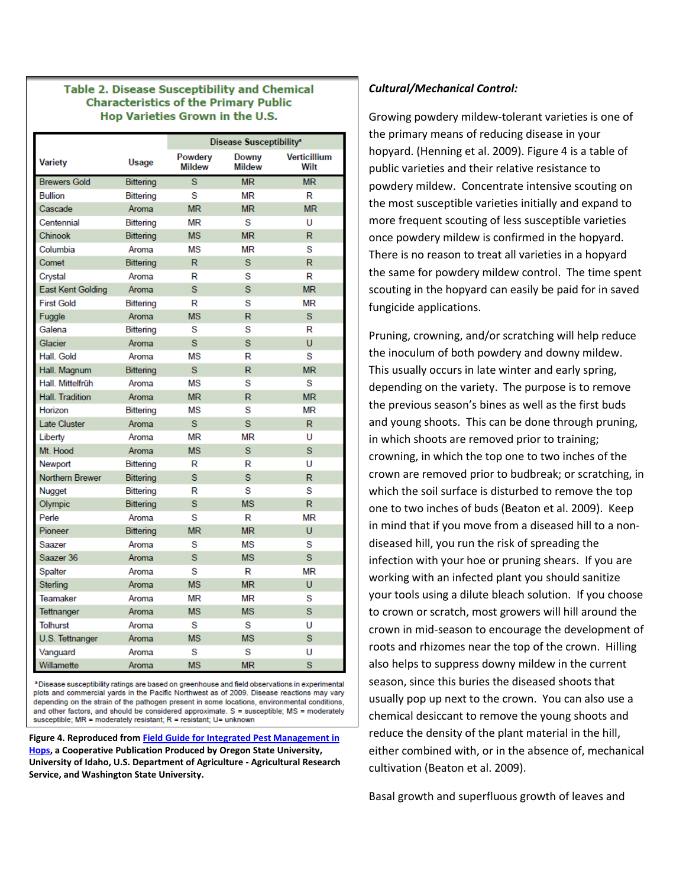#### **Table 2. Disease Susceptibility and Chemical Characteristics of the Primary Public** Hop Varieties Grown in the U.S.

|                        |                  | Disease Susceptibility <sup>®</sup> |                        |                             |  |  |  |  |
|------------------------|------------------|-------------------------------------|------------------------|-----------------------------|--|--|--|--|
| Variety                | Usage            | Powdery<br><b>Mildew</b>            | Downy<br><b>Mildew</b> | <b>Verticillium</b><br>Wilt |  |  |  |  |
| <b>Brewers Gold</b>    | <b>Bittering</b> | $\overline{s}$<br><b>MR</b>         |                        | <b>MR</b>                   |  |  |  |  |
| <b>Bullion</b>         | Bittering        | S<br>MR                             |                        | R                           |  |  |  |  |
| Cascade                | Aroma            | <b>MR</b>                           | <b>MR</b>              | <b>MR</b>                   |  |  |  |  |
| Centennial             | <b>Bittering</b> | MR                                  | S                      | U                           |  |  |  |  |
| Chinook                | Bittering        | <b>MS</b>                           | <b>MR</b>              | R.                          |  |  |  |  |
| Columbia               | Aroma            | ΜS                                  | МR                     | S                           |  |  |  |  |
| Comet                  | <b>Bittering</b> | R                                   | S                      | R.                          |  |  |  |  |
| Crystal                | Aroma            | R                                   | S                      | R                           |  |  |  |  |
| East Kent Golding      | Aroma            | S.                                  | S                      | <b>MR</b>                   |  |  |  |  |
| <b>First Gold</b>      | Bittering        | R                                   | s                      | <b>MR</b>                   |  |  |  |  |
| Fuggle                 | Aroma            | <b>MS</b>                           | R                      | S                           |  |  |  |  |
| Galena                 | <b>Bittering</b> | S                                   | S                      | R                           |  |  |  |  |
| Glacier                | Aroma            | S.                                  | S                      | Ü                           |  |  |  |  |
| Hall, Gold             | Aroma            | MS                                  | R                      | S                           |  |  |  |  |
| Hall. Magnum           | <b>Bittering</b> | s.                                  | R                      | <b>MR</b>                   |  |  |  |  |
| Hall, Mittelfrüh       | Aroma            | <b>MS</b>                           | S                      | S                           |  |  |  |  |
| <b>Hall. Tradition</b> | Aroma            | <b>MR</b>                           | R                      | <b>MR</b>                   |  |  |  |  |
| Horizon                | <b>Bittering</b> | MS                                  | S                      | <b>MR</b>                   |  |  |  |  |
| <b>Late Cluster</b>    | Aroma            | s                                   | s                      | R.                          |  |  |  |  |
| Liberty                | Aroma            | <b>MR</b>                           | MR                     | U                           |  |  |  |  |
| Mt. Hood               | Aroma            | MS                                  | Ś                      | s                           |  |  |  |  |
| Newport                | Bittering        | R                                   | R                      | U                           |  |  |  |  |
| <b>Northern Brewer</b> | <b>Bittering</b> | Ś                                   | Ś                      | R                           |  |  |  |  |
| Nugget                 | <b>Bittering</b> | R                                   | S                      | S                           |  |  |  |  |
| Olympic                | Bittering        | s                                   | MS                     | R.                          |  |  |  |  |
| Perle                  | Aroma            | S                                   | R                      | <b>MR</b>                   |  |  |  |  |
| Pioneer                | <b>Bittering</b> | <b>MR</b>                           | <b>MR</b>              | U                           |  |  |  |  |
| Saazer                 | Aroma            | s                                   | ΜS                     | S                           |  |  |  |  |
| Saazer 36              | Aroma            | <sub>S</sub>                        | <b>MS</b>              | S.                          |  |  |  |  |
| Spalter                | Aroma            | S                                   | R                      | <b>MR</b>                   |  |  |  |  |
| <b>Sterling</b>        | Aroma            | <b>MS</b>                           | <b>MR</b>              | U                           |  |  |  |  |
| Teamaker               | Aroma            | <b>MR</b>                           | MR                     | S                           |  |  |  |  |
| Tettnanger             | Aroma            | <b>MS</b>                           | <b>MS</b>              | S                           |  |  |  |  |
| <b>Tolhurst</b>        | Aroma            | S                                   | S                      | U                           |  |  |  |  |
| U.S. Tettnanger        | Aroma            | <b>MS</b>                           | <b>MS</b>              | S                           |  |  |  |  |
| Vanguard               | Aroma            | s                                   | S                      | U                           |  |  |  |  |
| Willamette             | Aroma            | <b>MS</b>                           | <b>MR</b>              | S                           |  |  |  |  |

a Disease susceptibility ratings are based on greenhouse and field observations in experimental plots and commercial yards in the Pacific Northwest as of 2009. Disease reactions may vary depending on the strain of the pathogen present in some locations, environmental conditions, and other factors, and should be considered approximate.  $S =$  susceptible; MS = moderately susceptible; MR = moderately resistant; R = resistant; U= unknown

**Figure 4. Reproduced fro[m Field Guide for Integrated Pest Management in](http://ipm.wsu.edu/field/pdf/HopHandbook2009.pdf)  [Hops,](http://ipm.wsu.edu/field/pdf/HopHandbook2009.pdf) a Cooperative Publication Produced by Oregon State University, University of Idaho, U.S. Department of Agriculture - Agricultural Research Service, and Washington State University.**

#### *Cultural/Mechanical Control:*

Growing powdery mildew-tolerant varieties is one of the primary means of reducing disease in your hopyard. (Henning et al. 2009). Figure 4 is a table of public varieties and their relative resistance to powdery mildew. Concentrate intensive scouting on the most susceptible varieties initially and expand to more frequent scouting of less susceptible varieties once powdery mildew is confirmed in the hopyard. There is no reason to treat all varieties in a hopyard the same for powdery mildew control. The time spent scouting in the hopyard can easily be paid for in saved fungicide applications.

Pruning, crowning, and/or scratching will help reduce the inoculum of both powdery and downy mildew. This usually occurs in late winter and early spring, depending on the variety. The purpose is to remove the previous season's bines as well as the first buds and young shoots. This can be done through pruning, in which shoots are removed prior to training; crowning, in which the top one to two inches of the crown are removed prior to budbreak; or scratching, in which the soil surface is disturbed to remove the top one to two inches of buds (Beaton et al. 2009). Keep in mind that if you move from a diseased hill to a nondiseased hill, you run the risk of spreading the infection with your hoe or pruning shears. If you are working with an infected plant you should sanitize your tools using a dilute bleach solution. If you choose to crown or scratch, most growers will hill around the crown in mid-season to encourage the development of roots and rhizomes near the top of the crown. Hilling also helps to suppress downy mildew in the current season, since this buries the diseased shoots that usually pop up next to the crown. You can also use a chemical desiccant to remove the young shoots and reduce the density of the plant material in the hill, either combined with, or in the absence of, mechanical cultivation (Beaton et al. 2009).

Basal growth and superfluous growth of leaves and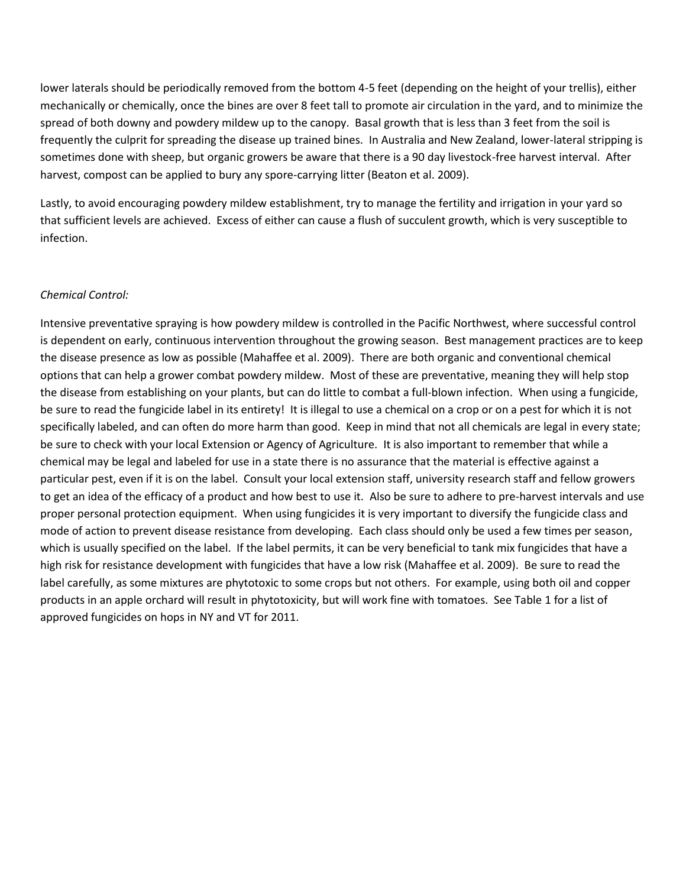lower laterals should be periodically removed from the bottom 4-5 feet (depending on the height of your trellis), either mechanically or chemically, once the bines are over 8 feet tall to promote air circulation in the yard, and to minimize the spread of both downy and powdery mildew up to the canopy. Basal growth that is less than 3 feet from the soil is frequently the culprit for spreading the disease up trained bines. In Australia and New Zealand, lower-lateral stripping is sometimes done with sheep, but organic growers be aware that there is a 90 day livestock-free harvest interval. After harvest, compost can be applied to bury any spore-carrying litter (Beaton et al. 2009).

Lastly, to avoid encouraging powdery mildew establishment, try to manage the fertility and irrigation in your yard so that sufficient levels are achieved. Excess of either can cause a flush of succulent growth, which is very susceptible to infection.

#### *Chemical Control:*

Intensive preventative spraying is how powdery mildew is controlled in the Pacific Northwest, where successful control is dependent on early, continuous intervention throughout the growing season. Best management practices are to keep the disease presence as low as possible (Mahaffee et al. 2009). There are both organic and conventional chemical options that can help a grower combat powdery mildew. Most of these are preventative, meaning they will help stop the disease from establishing on your plants, but can do little to combat a full-blown infection. When using a fungicide, be sure to read the fungicide label in its entirety! It is illegal to use a chemical on a crop or on a pest for which it is not specifically labeled, and can often do more harm than good. Keep in mind that not all chemicals are legal in every state; be sure to check with your local Extension or Agency of Agriculture. It is also important to remember that while a chemical may be legal and labeled for use in a state there is no assurance that the material is effective against a particular pest, even if it is on the label. Consult your local extension staff, university research staff and fellow growers to get an idea of the efficacy of a product and how best to use it. Also be sure to adhere to pre-harvest intervals and use proper personal protection equipment. When using fungicides it is very important to diversify the fungicide class and mode of action to prevent disease resistance from developing. Each class should only be used a few times per season, which is usually specified on the label. If the label permits, it can be very beneficial to tank mix fungicides that have a high risk for resistance development with fungicides that have a low risk (Mahaffee et al. 2009). Be sure to read the label carefully, as some mixtures are phytotoxic to some crops but not others. For example, using both oil and copper products in an apple orchard will result in phytotoxicity, but will work fine with tomatoes. See Table 1 for a list of approved fungicides on hops in NY and VT for 2011.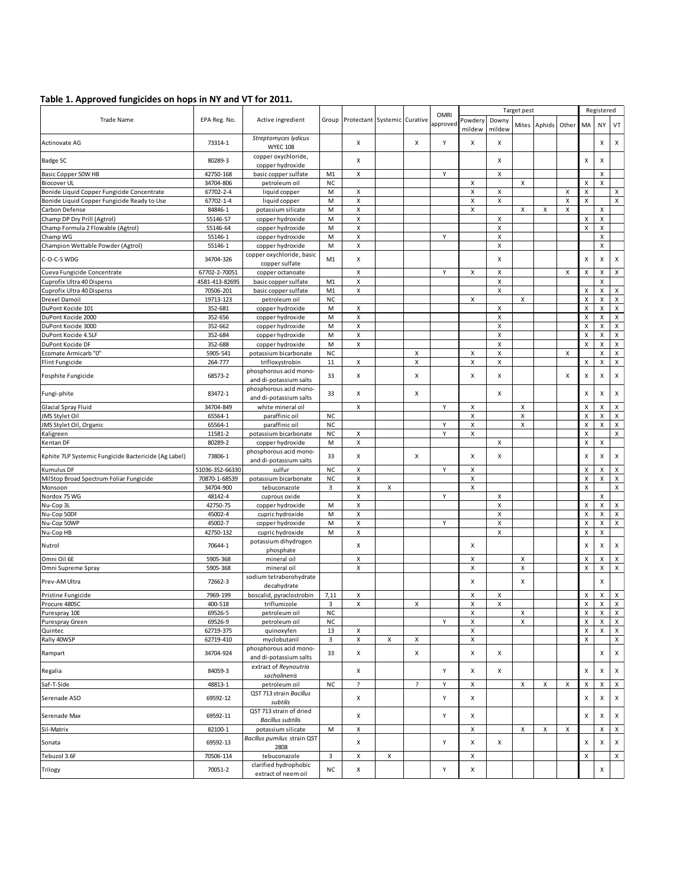#### **Table 1. Approved fungicides on hops in NY and VT for 2011.**

| Protectant Systemic Curative<br>approvec<br>Aphids<br>Mites<br>Other<br>MA<br>NY<br>mildew<br>mildew<br>Streptomyces lydicus<br>73314-1<br>X<br>Y<br>X<br><b>Actinovate AG</b><br>X<br>Х<br>Х<br><b>WYEC 108</b><br>copper oxychloride,<br>80289-3<br>X<br>Badge SC<br>X<br>Х<br>х<br>copper hydroxide<br>42750-168<br>basic copper sulfate<br>Basic Copper 50W HB<br>M1<br>х<br>Y<br>Х<br>х<br><b>Biocover UL</b><br><b>NC</b><br>X<br>X<br>Χ<br>X<br>34704-806<br>petroleum oil<br>X<br>X<br>X<br>Bonide Liquid Copper Fungicide Concentrate<br>67702-2-4<br>liquid copper<br>M<br>X<br>X<br>Bonide Liquid Copper Fungicide Ready to Use<br>67702-1-4<br>liquid copper<br>X<br>м<br>х<br>Х<br>X<br>х<br>X<br>X<br>$\pmb{\mathsf{X}}$<br>M<br>X<br>X<br>Carbon Defense<br>84846-1<br>potassium silicate<br>X<br>X<br>X<br>X<br>$\pmb{\times}$<br>Champ DP Dry Prill (Agtrol)<br>55146-57<br>copper hydroxide<br>M<br>X<br>$\pmb{\times}$<br>Champ Formula 2 Flowable (Agtrol)<br>55146-64<br>X<br>X<br>copper hydroxide<br>M<br>X<br>Y<br>$\pmb{\mathsf{X}}$<br>55146-1<br>M<br>X<br>Champ WG<br>copper hydroxide<br>X<br>X<br>X<br>Champion Wettable Powder (Agtrol)<br>55146-1<br>M<br>copper hydroxide<br>copper oxychloride, basic<br>X<br>C-O-C-S WDG<br>34704-326<br>M1<br>x<br>X<br>X<br>X<br>copper sulfate<br>Y<br>$\pmb{\times}$<br>X<br>X<br>$\boldsymbol{\mathsf{X}}$<br>Cueva Fungicide Concentrate<br>67702-2-70051<br>copper octanoate<br>X<br>X<br>X<br>Cuprofix Ultra 40 Disperss<br>4581-413-82695<br>basic copper sulfate<br>X<br>M1<br>х<br>$\pmb{\mathsf{X}}$<br>70506-201<br>X<br>X<br>X<br>Cuprofix Ultra 40 Disperss<br>basic copper sulfate<br>M1<br>19713-123<br>X<br>$\pmb{\times}$<br>X<br>Drexel Damoil<br>petroleum oil<br><b>NC</b><br>X<br>X<br>DuPont Kocide 101<br>352-681<br>x<br>X<br>X<br>copper hydroxide<br>M<br>$\pmb{\mathsf{X}}$<br>M<br>X<br>X<br>X<br>DuPont Kocide 2000<br>352-656<br>copper hydroxide<br>X<br>X<br>$\pmb{\times}$<br>X<br>DuPont Kocide 3000<br>352-662<br>copper hydroxide<br>M<br>X<br>X<br>DuPont Kocide 4.5LF<br>352-684<br>X<br>X<br>copper hydroxide<br>M<br>$\pmb{\mathsf{X}}$<br>$\pmb{\chi}$<br>M<br>X<br>X<br>DuPont Kocide DF<br>352-688<br>copper hydroxide<br>X<br>X<br>X<br><b>Ecomate Armicarb "0"</b><br>5905-541<br><b>NC</b><br>X<br>X<br>X<br>potassium bicarbonate<br>Χ<br>X<br>X<br>264-777<br>11<br>x<br>X<br>X<br>X<br>Flint Fungicide<br>trifloxystrobin<br>phosphorous acid mono-<br>68573-2<br>X<br>Fosphite Fungicide<br>33<br>X<br>х<br>Х<br>X<br>x<br>х<br>and di-potassium salts<br>phosphorous acid mono-<br>83472-1<br>33<br>X<br>X<br>X<br>X<br>X<br>Fungi-phite<br>and di-potassium salts<br>Glacial Spray Fluid<br>34704-849<br>white mineral oil<br>X<br>Y<br>X<br>X<br>X<br>X<br>X<br>X<br>Χ<br>JMS Stylet Oil<br>65564-1<br><b>NC</b><br>X<br>X<br>X<br>paraffinic oil<br>Y<br>X<br>X<br>Χ<br>X<br>JMS Stylet Oil, Organic<br>65564-1<br><b>NC</b><br>paraffinic oil<br>Y<br>$\pmb{\times}$<br>$\pmb{\times}$<br>11581-2<br>potassium bicarbonate<br><b>NC</b><br>X<br>Kaligreen<br>X<br>80289-2<br>X<br>X<br>X<br>Kentan DF<br>copper hydroxide<br>M<br>phosphorous acid mono-<br>73806-1<br>Kphite 7LP Systemic Fungicide Bactericide (Ag Label)<br>33<br>х<br>х<br>х<br>Х<br>x<br>х<br>and di-potassium salts<br>51036-352-66330<br><b>NC</b><br>X<br>Υ<br>X<br>X<br>X<br>Kumulus DF<br>sulfur<br>Χ<br>MilStop Broad Spectrum Foliar Fungicide<br>X<br>X<br>X<br>70870-1-68539<br>potassium bicarbonate<br>ΝC<br>X<br>$\pmb{\times}$<br>34704-900<br>tebuconazole<br>3<br>X<br>X<br>Monsoon<br>Y<br>Nordox 75 WG<br>48142-4<br>X<br>X<br>X<br>cuprous oxide<br>Nu-Cop 3L<br>42750-75<br>X<br>X<br>X<br>X<br>copper hydroxide<br>м<br>$\pmb{\times}$<br>Nu-Cop 50DF<br>45002-4<br>cupric hydroxide<br>M<br>X<br>X<br>X<br>45002-7<br>X<br>Nu-Cop 50WP<br>Υ<br>X<br>X<br>X<br>copper hydroxide<br>M<br>х<br>X<br>Nu-Cop HB<br>42750-132<br>x<br>X<br>X<br>cupric hydroxide<br>М<br>potassium dihydrogen<br>70644-1<br>X<br>X<br>Nutrol<br>х<br>Х<br>phosphate<br>X<br>$\pmb{\times}$<br>$\pmb{\times}$<br>5905-368<br>X<br>mineral oil<br>X<br>X<br>5905-368<br>mineral oil<br>X<br>X<br>X<br>X<br>$\boldsymbol{\mathsf{X}}$<br>Omni Supreme Spray<br>X<br>sodium tetraborohydrate<br>X<br>X<br>Prev-AM Ultra<br>72662-3<br>X<br>decahydrate<br>Pristine Fungicide<br>7969-199<br>boscalid, pyraclostrobin<br>7,11<br>X<br>X<br>X<br>X<br>X<br>Procure 480SC<br>400-518<br>triflumizole<br>x<br>X<br>X<br>X<br>X<br>X<br>3<br><b>NC</b><br>X<br>69526-5<br>petroleum oil<br>Χ<br>x<br>X<br>Purespray 10E<br>X<br>69526-9<br>petroleum oil<br><b>NC</b><br>Υ<br>X<br>X<br>X<br>Purespray Green<br>62719-375<br>quinoxyfen<br>13<br>X<br>X<br>X<br>Quintec<br>х<br>3<br>X<br>X<br>Rally 40WSP<br>62719-410<br>myclobutanil<br>X<br>X<br>Χ<br>phosphorous acid mono-<br>34704-924<br>33<br>X<br>X<br>X<br>X<br>X<br>Rampart<br>and di-potassium salts<br>extract of Reynoutria<br>84059-3<br>Υ<br>Χ<br>Regalia<br>x<br>X<br>X<br>X<br>sachalinenis<br>Saf-T-Side<br>48813-1<br>petroleum oil<br>NC<br>S.<br>S.<br>Υ<br>x<br>X<br>X<br>х<br>х<br>X<br>QST 713 strain Bacillus<br>69592-12<br>Υ<br>Χ<br>Serenade ASO<br>x<br>X<br>X<br>subtilis<br>QST 713 strain of dried<br>Y<br>X<br>69592-11<br>x<br>X<br>X<br>Serenade Max<br><b>Bacillus subtilis</b><br>X<br>X<br>X<br>X<br>82100-1<br>potassium silicate<br>M<br>X<br>X<br>Bacillus pumilus strain QST<br>69592-13<br>Y<br>x<br>X<br>X<br>X<br>X<br>Sonata<br>2808<br>X<br>X<br>Tebuzol 3.6F<br>70506-114<br>tebuconazole<br>$\overline{\mathbf{3}}$<br>X<br>X<br>clarified hydrophobic | Table 1. Approved fungicides on hops in NY and VT for 2011.<br><b>Trade Name</b> |              |                   |           |   |  | <b>OMRI</b> | Target pest |       |  |  |  | Registered |   |              |
|--------------------------------------------------------------------------------------------------------------------------------------------------------------------------------------------------------------------------------------------------------------------------------------------------------------------------------------------------------------------------------------------------------------------------------------------------------------------------------------------------------------------------------------------------------------------------------------------------------------------------------------------------------------------------------------------------------------------------------------------------------------------------------------------------------------------------------------------------------------------------------------------------------------------------------------------------------------------------------------------------------------------------------------------------------------------------------------------------------------------------------------------------------------------------------------------------------------------------------------------------------------------------------------------------------------------------------------------------------------------------------------------------------------------------------------------------------------------------------------------------------------------------------------------------------------------------------------------------------------------------------------------------------------------------------------------------------------------------------------------------------------------------------------------------------------------------------------------------------------------------------------------------------------------------------------------------------------------------------------------------------------------------------------------------------------------------------------------------------------------------------------------------------------------------------------------------------------------------------------------------------------------------------------------------------------------------------------------------------------------------------------------------------------------------------------------------------------------------------------------------------------------------------------------------------------------------------------------------------------------------------------------------------------------------------------------------------------------------------------------------------------------------------------------------------------------------------------------------------------------------------------------------------------------------------------------------------------------------------------------------------------------------------------------------------------------------------------------------------------------------------------------------------------------------------------------------------------------------------------------------------------------------------------------------------------------------------------------------------------------------------------------------------------------------------------------------------------------------------------------------------------------------------------------------------------------------------------------------------------------------------------------------------------------------------------------------------------------------------------------------------------------------------------------------------------------------------------------------------------------------------------------------------------------------------------------------------------------------------------------------------------------------------------------------------------------------------------------------------------------------------------------------------------------------------------------------------------------------------------------------------------------------------------------------------------------------------------------------------------------------------------------------------------------------------------------------------------------------------------------------------------------------------------------------------------------------------------------------------------------------------------------------------------------------------------------------------------------------------------------------------------------------------------------------------------------------------------------------------------------------------------------------------------------------------------------------------------------------------------------------------------------------------------------------------------------------------------------------------------------------------------------------------------------------------------------------------------------------------------------------------------------------------------------------------------------------------------------------------------------------------------------------------------------------------------------------------------------------------------------------------------------------------------------------------------------------------------------------------------------------------------------------|----------------------------------------------------------------------------------|--------------|-------------------|-----------|---|--|-------------|-------------|-------|--|--|--|------------|---|--------------|
|                                                                                                                                                                                                                                                                                                                                                                                                                                                                                                                                                                                                                                                                                                                                                                                                                                                                                                                                                                                                                                                                                                                                                                                                                                                                                                                                                                                                                                                                                                                                                                                                                                                                                                                                                                                                                                                                                                                                                                                                                                                                                                                                                                                                                                                                                                                                                                                                                                                                                                                                                                                                                                                                                                                                                                                                                                                                                                                                                                                                                                                                                                                                                                                                                                                                                                                                                                                                                                                                                                                                                                                                                                                                                                                                                                                                                                                                                                                                                                                                                                                                                                                                                                                                                                                                                                                                                                                                                                                                                                                                                                                                                                                                                                                                                                                                                                                                                                                                                                                                                                                                                                                                                                                                                                                                                                                                                                                                                                                                                                                                                                                                                                                  |                                                                                  | EPA Reg. No. | Active ingredient | Group     |   |  |             | Powdery     | Downy |  |  |  |            |   | VT           |
|                                                                                                                                                                                                                                                                                                                                                                                                                                                                                                                                                                                                                                                                                                                                                                                                                                                                                                                                                                                                                                                                                                                                                                                                                                                                                                                                                                                                                                                                                                                                                                                                                                                                                                                                                                                                                                                                                                                                                                                                                                                                                                                                                                                                                                                                                                                                                                                                                                                                                                                                                                                                                                                                                                                                                                                                                                                                                                                                                                                                                                                                                                                                                                                                                                                                                                                                                                                                                                                                                                                                                                                                                                                                                                                                                                                                                                                                                                                                                                                                                                                                                                                                                                                                                                                                                                                                                                                                                                                                                                                                                                                                                                                                                                                                                                                                                                                                                                                                                                                                                                                                                                                                                                                                                                                                                                                                                                                                                                                                                                                                                                                                                                                  |                                                                                  |              |                   |           |   |  |             |             |       |  |  |  |            |   | X            |
|                                                                                                                                                                                                                                                                                                                                                                                                                                                                                                                                                                                                                                                                                                                                                                                                                                                                                                                                                                                                                                                                                                                                                                                                                                                                                                                                                                                                                                                                                                                                                                                                                                                                                                                                                                                                                                                                                                                                                                                                                                                                                                                                                                                                                                                                                                                                                                                                                                                                                                                                                                                                                                                                                                                                                                                                                                                                                                                                                                                                                                                                                                                                                                                                                                                                                                                                                                                                                                                                                                                                                                                                                                                                                                                                                                                                                                                                                                                                                                                                                                                                                                                                                                                                                                                                                                                                                                                                                                                                                                                                                                                                                                                                                                                                                                                                                                                                                                                                                                                                                                                                                                                                                                                                                                                                                                                                                                                                                                                                                                                                                                                                                                                  |                                                                                  |              |                   |           |   |  |             |             |       |  |  |  |            |   |              |
|                                                                                                                                                                                                                                                                                                                                                                                                                                                                                                                                                                                                                                                                                                                                                                                                                                                                                                                                                                                                                                                                                                                                                                                                                                                                                                                                                                                                                                                                                                                                                                                                                                                                                                                                                                                                                                                                                                                                                                                                                                                                                                                                                                                                                                                                                                                                                                                                                                                                                                                                                                                                                                                                                                                                                                                                                                                                                                                                                                                                                                                                                                                                                                                                                                                                                                                                                                                                                                                                                                                                                                                                                                                                                                                                                                                                                                                                                                                                                                                                                                                                                                                                                                                                                                                                                                                                                                                                                                                                                                                                                                                                                                                                                                                                                                                                                                                                                                                                                                                                                                                                                                                                                                                                                                                                                                                                                                                                                                                                                                                                                                                                                                                  |                                                                                  |              |                   |           |   |  |             |             |       |  |  |  |            |   |              |
|                                                                                                                                                                                                                                                                                                                                                                                                                                                                                                                                                                                                                                                                                                                                                                                                                                                                                                                                                                                                                                                                                                                                                                                                                                                                                                                                                                                                                                                                                                                                                                                                                                                                                                                                                                                                                                                                                                                                                                                                                                                                                                                                                                                                                                                                                                                                                                                                                                                                                                                                                                                                                                                                                                                                                                                                                                                                                                                                                                                                                                                                                                                                                                                                                                                                                                                                                                                                                                                                                                                                                                                                                                                                                                                                                                                                                                                                                                                                                                                                                                                                                                                                                                                                                                                                                                                                                                                                                                                                                                                                                                                                                                                                                                                                                                                                                                                                                                                                                                                                                                                                                                                                                                                                                                                                                                                                                                                                                                                                                                                                                                                                                                                  |                                                                                  |              |                   |           |   |  |             |             |       |  |  |  |            |   |              |
|                                                                                                                                                                                                                                                                                                                                                                                                                                                                                                                                                                                                                                                                                                                                                                                                                                                                                                                                                                                                                                                                                                                                                                                                                                                                                                                                                                                                                                                                                                                                                                                                                                                                                                                                                                                                                                                                                                                                                                                                                                                                                                                                                                                                                                                                                                                                                                                                                                                                                                                                                                                                                                                                                                                                                                                                                                                                                                                                                                                                                                                                                                                                                                                                                                                                                                                                                                                                                                                                                                                                                                                                                                                                                                                                                                                                                                                                                                                                                                                                                                                                                                                                                                                                                                                                                                                                                                                                                                                                                                                                                                                                                                                                                                                                                                                                                                                                                                                                                                                                                                                                                                                                                                                                                                                                                                                                                                                                                                                                                                                                                                                                                                                  |                                                                                  |              |                   |           |   |  |             |             |       |  |  |  |            |   | X            |
|                                                                                                                                                                                                                                                                                                                                                                                                                                                                                                                                                                                                                                                                                                                                                                                                                                                                                                                                                                                                                                                                                                                                                                                                                                                                                                                                                                                                                                                                                                                                                                                                                                                                                                                                                                                                                                                                                                                                                                                                                                                                                                                                                                                                                                                                                                                                                                                                                                                                                                                                                                                                                                                                                                                                                                                                                                                                                                                                                                                                                                                                                                                                                                                                                                                                                                                                                                                                                                                                                                                                                                                                                                                                                                                                                                                                                                                                                                                                                                                                                                                                                                                                                                                                                                                                                                                                                                                                                                                                                                                                                                                                                                                                                                                                                                                                                                                                                                                                                                                                                                                                                                                                                                                                                                                                                                                                                                                                                                                                                                                                                                                                                                                  |                                                                                  |              |                   |           |   |  |             |             |       |  |  |  |            |   | X            |
|                                                                                                                                                                                                                                                                                                                                                                                                                                                                                                                                                                                                                                                                                                                                                                                                                                                                                                                                                                                                                                                                                                                                                                                                                                                                                                                                                                                                                                                                                                                                                                                                                                                                                                                                                                                                                                                                                                                                                                                                                                                                                                                                                                                                                                                                                                                                                                                                                                                                                                                                                                                                                                                                                                                                                                                                                                                                                                                                                                                                                                                                                                                                                                                                                                                                                                                                                                                                                                                                                                                                                                                                                                                                                                                                                                                                                                                                                                                                                                                                                                                                                                                                                                                                                                                                                                                                                                                                                                                                                                                                                                                                                                                                                                                                                                                                                                                                                                                                                                                                                                                                                                                                                                                                                                                                                                                                                                                                                                                                                                                                                                                                                                                  |                                                                                  |              |                   |           |   |  |             |             |       |  |  |  |            |   |              |
|                                                                                                                                                                                                                                                                                                                                                                                                                                                                                                                                                                                                                                                                                                                                                                                                                                                                                                                                                                                                                                                                                                                                                                                                                                                                                                                                                                                                                                                                                                                                                                                                                                                                                                                                                                                                                                                                                                                                                                                                                                                                                                                                                                                                                                                                                                                                                                                                                                                                                                                                                                                                                                                                                                                                                                                                                                                                                                                                                                                                                                                                                                                                                                                                                                                                                                                                                                                                                                                                                                                                                                                                                                                                                                                                                                                                                                                                                                                                                                                                                                                                                                                                                                                                                                                                                                                                                                                                                                                                                                                                                                                                                                                                                                                                                                                                                                                                                                                                                                                                                                                                                                                                                                                                                                                                                                                                                                                                                                                                                                                                                                                                                                                  |                                                                                  |              |                   |           |   |  |             |             |       |  |  |  |            |   |              |
|                                                                                                                                                                                                                                                                                                                                                                                                                                                                                                                                                                                                                                                                                                                                                                                                                                                                                                                                                                                                                                                                                                                                                                                                                                                                                                                                                                                                                                                                                                                                                                                                                                                                                                                                                                                                                                                                                                                                                                                                                                                                                                                                                                                                                                                                                                                                                                                                                                                                                                                                                                                                                                                                                                                                                                                                                                                                                                                                                                                                                                                                                                                                                                                                                                                                                                                                                                                                                                                                                                                                                                                                                                                                                                                                                                                                                                                                                                                                                                                                                                                                                                                                                                                                                                                                                                                                                                                                                                                                                                                                                                                                                                                                                                                                                                                                                                                                                                                                                                                                                                                                                                                                                                                                                                                                                                                                                                                                                                                                                                                                                                                                                                                  |                                                                                  |              |                   |           |   |  |             |             |       |  |  |  |            |   |              |
| Sil-Matrix                                                                                                                                                                                                                                                                                                                                                                                                                                                                                                                                                                                                                                                                                                                                                                                                                                                                                                                                                                                                                                                                                                                                                                                                                                                                                                                                                                                                                                                                                                                                                                                                                                                                                                                                                                                                                                                                                                                                                                                                                                                                                                                                                                                                                                                                                                                                                                                                                                                                                                                                                                                                                                                                                                                                                                                                                                                                                                                                                                                                                                                                                                                                                                                                                                                                                                                                                                                                                                                                                                                                                                                                                                                                                                                                                                                                                                                                                                                                                                                                                                                                                                                                                                                                                                                                                                                                                                                                                                                                                                                                                                                                                                                                                                                                                                                                                                                                                                                                                                                                                                                                                                                                                                                                                                                                                                                                                                                                                                                                                                                                                                                                                                       |                                                                                  |              |                   |           |   |  |             |             |       |  |  |  |            |   |              |
|                                                                                                                                                                                                                                                                                                                                                                                                                                                                                                                                                                                                                                                                                                                                                                                                                                                                                                                                                                                                                                                                                                                                                                                                                                                                                                                                                                                                                                                                                                                                                                                                                                                                                                                                                                                                                                                                                                                                                                                                                                                                                                                                                                                                                                                                                                                                                                                                                                                                                                                                                                                                                                                                                                                                                                                                                                                                                                                                                                                                                                                                                                                                                                                                                                                                                                                                                                                                                                                                                                                                                                                                                                                                                                                                                                                                                                                                                                                                                                                                                                                                                                                                                                                                                                                                                                                                                                                                                                                                                                                                                                                                                                                                                                                                                                                                                                                                                                                                                                                                                                                                                                                                                                                                                                                                                                                                                                                                                                                                                                                                                                                                                                                  |                                                                                  |              |                   |           |   |  |             |             |       |  |  |  |            |   |              |
|                                                                                                                                                                                                                                                                                                                                                                                                                                                                                                                                                                                                                                                                                                                                                                                                                                                                                                                                                                                                                                                                                                                                                                                                                                                                                                                                                                                                                                                                                                                                                                                                                                                                                                                                                                                                                                                                                                                                                                                                                                                                                                                                                                                                                                                                                                                                                                                                                                                                                                                                                                                                                                                                                                                                                                                                                                                                                                                                                                                                                                                                                                                                                                                                                                                                                                                                                                                                                                                                                                                                                                                                                                                                                                                                                                                                                                                                                                                                                                                                                                                                                                                                                                                                                                                                                                                                                                                                                                                                                                                                                                                                                                                                                                                                                                                                                                                                                                                                                                                                                                                                                                                                                                                                                                                                                                                                                                                                                                                                                                                                                                                                                                                  |                                                                                  |              |                   |           |   |  |             |             |       |  |  |  |            |   | X            |
|                                                                                                                                                                                                                                                                                                                                                                                                                                                                                                                                                                                                                                                                                                                                                                                                                                                                                                                                                                                                                                                                                                                                                                                                                                                                                                                                                                                                                                                                                                                                                                                                                                                                                                                                                                                                                                                                                                                                                                                                                                                                                                                                                                                                                                                                                                                                                                                                                                                                                                                                                                                                                                                                                                                                                                                                                                                                                                                                                                                                                                                                                                                                                                                                                                                                                                                                                                                                                                                                                                                                                                                                                                                                                                                                                                                                                                                                                                                                                                                                                                                                                                                                                                                                                                                                                                                                                                                                                                                                                                                                                                                                                                                                                                                                                                                                                                                                                                                                                                                                                                                                                                                                                                                                                                                                                                                                                                                                                                                                                                                                                                                                                                                  |                                                                                  |              |                   |           |   |  |             |             |       |  |  |  |            |   |              |
|                                                                                                                                                                                                                                                                                                                                                                                                                                                                                                                                                                                                                                                                                                                                                                                                                                                                                                                                                                                                                                                                                                                                                                                                                                                                                                                                                                                                                                                                                                                                                                                                                                                                                                                                                                                                                                                                                                                                                                                                                                                                                                                                                                                                                                                                                                                                                                                                                                                                                                                                                                                                                                                                                                                                                                                                                                                                                                                                                                                                                                                                                                                                                                                                                                                                                                                                                                                                                                                                                                                                                                                                                                                                                                                                                                                                                                                                                                                                                                                                                                                                                                                                                                                                                                                                                                                                                                                                                                                                                                                                                                                                                                                                                                                                                                                                                                                                                                                                                                                                                                                                                                                                                                                                                                                                                                                                                                                                                                                                                                                                                                                                                                                  |                                                                                  |              |                   |           |   |  |             |             |       |  |  |  |            |   | X            |
|                                                                                                                                                                                                                                                                                                                                                                                                                                                                                                                                                                                                                                                                                                                                                                                                                                                                                                                                                                                                                                                                                                                                                                                                                                                                                                                                                                                                                                                                                                                                                                                                                                                                                                                                                                                                                                                                                                                                                                                                                                                                                                                                                                                                                                                                                                                                                                                                                                                                                                                                                                                                                                                                                                                                                                                                                                                                                                                                                                                                                                                                                                                                                                                                                                                                                                                                                                                                                                                                                                                                                                                                                                                                                                                                                                                                                                                                                                                                                                                                                                                                                                                                                                                                                                                                                                                                                                                                                                                                                                                                                                                                                                                                                                                                                                                                                                                                                                                                                                                                                                                                                                                                                                                                                                                                                                                                                                                                                                                                                                                                                                                                                                                  |                                                                                  |              |                   |           |   |  |             |             |       |  |  |  |            |   | X            |
|                                                                                                                                                                                                                                                                                                                                                                                                                                                                                                                                                                                                                                                                                                                                                                                                                                                                                                                                                                                                                                                                                                                                                                                                                                                                                                                                                                                                                                                                                                                                                                                                                                                                                                                                                                                                                                                                                                                                                                                                                                                                                                                                                                                                                                                                                                                                                                                                                                                                                                                                                                                                                                                                                                                                                                                                                                                                                                                                                                                                                                                                                                                                                                                                                                                                                                                                                                                                                                                                                                                                                                                                                                                                                                                                                                                                                                                                                                                                                                                                                                                                                                                                                                                                                                                                                                                                                                                                                                                                                                                                                                                                                                                                                                                                                                                                                                                                                                                                                                                                                                                                                                                                                                                                                                                                                                                                                                                                                                                                                                                                                                                                                                                  |                                                                                  |              |                   |           |   |  |             |             |       |  |  |  |            |   | X            |
|                                                                                                                                                                                                                                                                                                                                                                                                                                                                                                                                                                                                                                                                                                                                                                                                                                                                                                                                                                                                                                                                                                                                                                                                                                                                                                                                                                                                                                                                                                                                                                                                                                                                                                                                                                                                                                                                                                                                                                                                                                                                                                                                                                                                                                                                                                                                                                                                                                                                                                                                                                                                                                                                                                                                                                                                                                                                                                                                                                                                                                                                                                                                                                                                                                                                                                                                                                                                                                                                                                                                                                                                                                                                                                                                                                                                                                                                                                                                                                                                                                                                                                                                                                                                                                                                                                                                                                                                                                                                                                                                                                                                                                                                                                                                                                                                                                                                                                                                                                                                                                                                                                                                                                                                                                                                                                                                                                                                                                                                                                                                                                                                                                                  |                                                                                  |              |                   |           |   |  |             |             |       |  |  |  |            |   | X            |
|                                                                                                                                                                                                                                                                                                                                                                                                                                                                                                                                                                                                                                                                                                                                                                                                                                                                                                                                                                                                                                                                                                                                                                                                                                                                                                                                                                                                                                                                                                                                                                                                                                                                                                                                                                                                                                                                                                                                                                                                                                                                                                                                                                                                                                                                                                                                                                                                                                                                                                                                                                                                                                                                                                                                                                                                                                                                                                                                                                                                                                                                                                                                                                                                                                                                                                                                                                                                                                                                                                                                                                                                                                                                                                                                                                                                                                                                                                                                                                                                                                                                                                                                                                                                                                                                                                                                                                                                                                                                                                                                                                                                                                                                                                                                                                                                                                                                                                                                                                                                                                                                                                                                                                                                                                                                                                                                                                                                                                                                                                                                                                                                                                                  |                                                                                  |              |                   |           |   |  |             |             |       |  |  |  |            |   | $\mathsf{x}$ |
|                                                                                                                                                                                                                                                                                                                                                                                                                                                                                                                                                                                                                                                                                                                                                                                                                                                                                                                                                                                                                                                                                                                                                                                                                                                                                                                                                                                                                                                                                                                                                                                                                                                                                                                                                                                                                                                                                                                                                                                                                                                                                                                                                                                                                                                                                                                                                                                                                                                                                                                                                                                                                                                                                                                                                                                                                                                                                                                                                                                                                                                                                                                                                                                                                                                                                                                                                                                                                                                                                                                                                                                                                                                                                                                                                                                                                                                                                                                                                                                                                                                                                                                                                                                                                                                                                                                                                                                                                                                                                                                                                                                                                                                                                                                                                                                                                                                                                                                                                                                                                                                                                                                                                                                                                                                                                                                                                                                                                                                                                                                                                                                                                                                  |                                                                                  |              |                   |           |   |  |             |             |       |  |  |  |            |   | X            |
|                                                                                                                                                                                                                                                                                                                                                                                                                                                                                                                                                                                                                                                                                                                                                                                                                                                                                                                                                                                                                                                                                                                                                                                                                                                                                                                                                                                                                                                                                                                                                                                                                                                                                                                                                                                                                                                                                                                                                                                                                                                                                                                                                                                                                                                                                                                                                                                                                                                                                                                                                                                                                                                                                                                                                                                                                                                                                                                                                                                                                                                                                                                                                                                                                                                                                                                                                                                                                                                                                                                                                                                                                                                                                                                                                                                                                                                                                                                                                                                                                                                                                                                                                                                                                                                                                                                                                                                                                                                                                                                                                                                                                                                                                                                                                                                                                                                                                                                                                                                                                                                                                                                                                                                                                                                                                                                                                                                                                                                                                                                                                                                                                                                  |                                                                                  |              |                   |           |   |  |             |             |       |  |  |  |            |   | X            |
|                                                                                                                                                                                                                                                                                                                                                                                                                                                                                                                                                                                                                                                                                                                                                                                                                                                                                                                                                                                                                                                                                                                                                                                                                                                                                                                                                                                                                                                                                                                                                                                                                                                                                                                                                                                                                                                                                                                                                                                                                                                                                                                                                                                                                                                                                                                                                                                                                                                                                                                                                                                                                                                                                                                                                                                                                                                                                                                                                                                                                                                                                                                                                                                                                                                                                                                                                                                                                                                                                                                                                                                                                                                                                                                                                                                                                                                                                                                                                                                                                                                                                                                                                                                                                                                                                                                                                                                                                                                                                                                                                                                                                                                                                                                                                                                                                                                                                                                                                                                                                                                                                                                                                                                                                                                                                                                                                                                                                                                                                                                                                                                                                                                  |                                                                                  |              |                   |           |   |  |             |             |       |  |  |  |            |   |              |
|                                                                                                                                                                                                                                                                                                                                                                                                                                                                                                                                                                                                                                                                                                                                                                                                                                                                                                                                                                                                                                                                                                                                                                                                                                                                                                                                                                                                                                                                                                                                                                                                                                                                                                                                                                                                                                                                                                                                                                                                                                                                                                                                                                                                                                                                                                                                                                                                                                                                                                                                                                                                                                                                                                                                                                                                                                                                                                                                                                                                                                                                                                                                                                                                                                                                                                                                                                                                                                                                                                                                                                                                                                                                                                                                                                                                                                                                                                                                                                                                                                                                                                                                                                                                                                                                                                                                                                                                                                                                                                                                                                                                                                                                                                                                                                                                                                                                                                                                                                                                                                                                                                                                                                                                                                                                                                                                                                                                                                                                                                                                                                                                                                                  |                                                                                  |              |                   |           |   |  |             |             |       |  |  |  |            |   | X            |
|                                                                                                                                                                                                                                                                                                                                                                                                                                                                                                                                                                                                                                                                                                                                                                                                                                                                                                                                                                                                                                                                                                                                                                                                                                                                                                                                                                                                                                                                                                                                                                                                                                                                                                                                                                                                                                                                                                                                                                                                                                                                                                                                                                                                                                                                                                                                                                                                                                                                                                                                                                                                                                                                                                                                                                                                                                                                                                                                                                                                                                                                                                                                                                                                                                                                                                                                                                                                                                                                                                                                                                                                                                                                                                                                                                                                                                                                                                                                                                                                                                                                                                                                                                                                                                                                                                                                                                                                                                                                                                                                                                                                                                                                                                                                                                                                                                                                                                                                                                                                                                                                                                                                                                                                                                                                                                                                                                                                                                                                                                                                                                                                                                                  |                                                                                  |              |                   |           |   |  |             |             |       |  |  |  |            |   | X            |
|                                                                                                                                                                                                                                                                                                                                                                                                                                                                                                                                                                                                                                                                                                                                                                                                                                                                                                                                                                                                                                                                                                                                                                                                                                                                                                                                                                                                                                                                                                                                                                                                                                                                                                                                                                                                                                                                                                                                                                                                                                                                                                                                                                                                                                                                                                                                                                                                                                                                                                                                                                                                                                                                                                                                                                                                                                                                                                                                                                                                                                                                                                                                                                                                                                                                                                                                                                                                                                                                                                                                                                                                                                                                                                                                                                                                                                                                                                                                                                                                                                                                                                                                                                                                                                                                                                                                                                                                                                                                                                                                                                                                                                                                                                                                                                                                                                                                                                                                                                                                                                                                                                                                                                                                                                                                                                                                                                                                                                                                                                                                                                                                                                                  |                                                                                  |              |                   |           |   |  |             |             |       |  |  |  |            |   |              |
|                                                                                                                                                                                                                                                                                                                                                                                                                                                                                                                                                                                                                                                                                                                                                                                                                                                                                                                                                                                                                                                                                                                                                                                                                                                                                                                                                                                                                                                                                                                                                                                                                                                                                                                                                                                                                                                                                                                                                                                                                                                                                                                                                                                                                                                                                                                                                                                                                                                                                                                                                                                                                                                                                                                                                                                                                                                                                                                                                                                                                                                                                                                                                                                                                                                                                                                                                                                                                                                                                                                                                                                                                                                                                                                                                                                                                                                                                                                                                                                                                                                                                                                                                                                                                                                                                                                                                                                                                                                                                                                                                                                                                                                                                                                                                                                                                                                                                                                                                                                                                                                                                                                                                                                                                                                                                                                                                                                                                                                                                                                                                                                                                                                  |                                                                                  |              |                   |           |   |  |             |             |       |  |  |  |            |   |              |
|                                                                                                                                                                                                                                                                                                                                                                                                                                                                                                                                                                                                                                                                                                                                                                                                                                                                                                                                                                                                                                                                                                                                                                                                                                                                                                                                                                                                                                                                                                                                                                                                                                                                                                                                                                                                                                                                                                                                                                                                                                                                                                                                                                                                                                                                                                                                                                                                                                                                                                                                                                                                                                                                                                                                                                                                                                                                                                                                                                                                                                                                                                                                                                                                                                                                                                                                                                                                                                                                                                                                                                                                                                                                                                                                                                                                                                                                                                                                                                                                                                                                                                                                                                                                                                                                                                                                                                                                                                                                                                                                                                                                                                                                                                                                                                                                                                                                                                                                                                                                                                                                                                                                                                                                                                                                                                                                                                                                                                                                                                                                                                                                                                                  |                                                                                  |              |                   |           |   |  |             |             |       |  |  |  |            |   | X            |
|                                                                                                                                                                                                                                                                                                                                                                                                                                                                                                                                                                                                                                                                                                                                                                                                                                                                                                                                                                                                                                                                                                                                                                                                                                                                                                                                                                                                                                                                                                                                                                                                                                                                                                                                                                                                                                                                                                                                                                                                                                                                                                                                                                                                                                                                                                                                                                                                                                                                                                                                                                                                                                                                                                                                                                                                                                                                                                                                                                                                                                                                                                                                                                                                                                                                                                                                                                                                                                                                                                                                                                                                                                                                                                                                                                                                                                                                                                                                                                                                                                                                                                                                                                                                                                                                                                                                                                                                                                                                                                                                                                                                                                                                                                                                                                                                                                                                                                                                                                                                                                                                                                                                                                                                                                                                                                                                                                                                                                                                                                                                                                                                                                                  |                                                                                  |              |                   |           |   |  |             |             |       |  |  |  |            |   | X            |
| Omni Oil 6E                                                                                                                                                                                                                                                                                                                                                                                                                                                                                                                                                                                                                                                                                                                                                                                                                                                                                                                                                                                                                                                                                                                                                                                                                                                                                                                                                                                                                                                                                                                                                                                                                                                                                                                                                                                                                                                                                                                                                                                                                                                                                                                                                                                                                                                                                                                                                                                                                                                                                                                                                                                                                                                                                                                                                                                                                                                                                                                                                                                                                                                                                                                                                                                                                                                                                                                                                                                                                                                                                                                                                                                                                                                                                                                                                                                                                                                                                                                                                                                                                                                                                                                                                                                                                                                                                                                                                                                                                                                                                                                                                                                                                                                                                                                                                                                                                                                                                                                                                                                                                                                                                                                                                                                                                                                                                                                                                                                                                                                                                                                                                                                                                                      |                                                                                  |              |                   |           |   |  |             |             |       |  |  |  |            |   |              |
|                                                                                                                                                                                                                                                                                                                                                                                                                                                                                                                                                                                                                                                                                                                                                                                                                                                                                                                                                                                                                                                                                                                                                                                                                                                                                                                                                                                                                                                                                                                                                                                                                                                                                                                                                                                                                                                                                                                                                                                                                                                                                                                                                                                                                                                                                                                                                                                                                                                                                                                                                                                                                                                                                                                                                                                                                                                                                                                                                                                                                                                                                                                                                                                                                                                                                                                                                                                                                                                                                                                                                                                                                                                                                                                                                                                                                                                                                                                                                                                                                                                                                                                                                                                                                                                                                                                                                                                                                                                                                                                                                                                                                                                                                                                                                                                                                                                                                                                                                                                                                                                                                                                                                                                                                                                                                                                                                                                                                                                                                                                                                                                                                                                  |                                                                                  |              |                   |           |   |  |             |             |       |  |  |  |            |   | X            |
|                                                                                                                                                                                                                                                                                                                                                                                                                                                                                                                                                                                                                                                                                                                                                                                                                                                                                                                                                                                                                                                                                                                                                                                                                                                                                                                                                                                                                                                                                                                                                                                                                                                                                                                                                                                                                                                                                                                                                                                                                                                                                                                                                                                                                                                                                                                                                                                                                                                                                                                                                                                                                                                                                                                                                                                                                                                                                                                                                                                                                                                                                                                                                                                                                                                                                                                                                                                                                                                                                                                                                                                                                                                                                                                                                                                                                                                                                                                                                                                                                                                                                                                                                                                                                                                                                                                                                                                                                                                                                                                                                                                                                                                                                                                                                                                                                                                                                                                                                                                                                                                                                                                                                                                                                                                                                                                                                                                                                                                                                                                                                                                                                                                  |                                                                                  |              |                   |           |   |  |             |             |       |  |  |  |            |   | X            |
|                                                                                                                                                                                                                                                                                                                                                                                                                                                                                                                                                                                                                                                                                                                                                                                                                                                                                                                                                                                                                                                                                                                                                                                                                                                                                                                                                                                                                                                                                                                                                                                                                                                                                                                                                                                                                                                                                                                                                                                                                                                                                                                                                                                                                                                                                                                                                                                                                                                                                                                                                                                                                                                                                                                                                                                                                                                                                                                                                                                                                                                                                                                                                                                                                                                                                                                                                                                                                                                                                                                                                                                                                                                                                                                                                                                                                                                                                                                                                                                                                                                                                                                                                                                                                                                                                                                                                                                                                                                                                                                                                                                                                                                                                                                                                                                                                                                                                                                                                                                                                                                                                                                                                                                                                                                                                                                                                                                                                                                                                                                                                                                                                                                  |                                                                                  |              |                   |           |   |  |             |             |       |  |  |  |            |   | X            |
|                                                                                                                                                                                                                                                                                                                                                                                                                                                                                                                                                                                                                                                                                                                                                                                                                                                                                                                                                                                                                                                                                                                                                                                                                                                                                                                                                                                                                                                                                                                                                                                                                                                                                                                                                                                                                                                                                                                                                                                                                                                                                                                                                                                                                                                                                                                                                                                                                                                                                                                                                                                                                                                                                                                                                                                                                                                                                                                                                                                                                                                                                                                                                                                                                                                                                                                                                                                                                                                                                                                                                                                                                                                                                                                                                                                                                                                                                                                                                                                                                                                                                                                                                                                                                                                                                                                                                                                                                                                                                                                                                                                                                                                                                                                                                                                                                                                                                                                                                                                                                                                                                                                                                                                                                                                                                                                                                                                                                                                                                                                                                                                                                                                  |                                                                                  |              |                   |           |   |  |             |             |       |  |  |  |            |   | X            |
|                                                                                                                                                                                                                                                                                                                                                                                                                                                                                                                                                                                                                                                                                                                                                                                                                                                                                                                                                                                                                                                                                                                                                                                                                                                                                                                                                                                                                                                                                                                                                                                                                                                                                                                                                                                                                                                                                                                                                                                                                                                                                                                                                                                                                                                                                                                                                                                                                                                                                                                                                                                                                                                                                                                                                                                                                                                                                                                                                                                                                                                                                                                                                                                                                                                                                                                                                                                                                                                                                                                                                                                                                                                                                                                                                                                                                                                                                                                                                                                                                                                                                                                                                                                                                                                                                                                                                                                                                                                                                                                                                                                                                                                                                                                                                                                                                                                                                                                                                                                                                                                                                                                                                                                                                                                                                                                                                                                                                                                                                                                                                                                                                                                  |                                                                                  |              |                   |           |   |  |             |             |       |  |  |  |            |   |              |
|                                                                                                                                                                                                                                                                                                                                                                                                                                                                                                                                                                                                                                                                                                                                                                                                                                                                                                                                                                                                                                                                                                                                                                                                                                                                                                                                                                                                                                                                                                                                                                                                                                                                                                                                                                                                                                                                                                                                                                                                                                                                                                                                                                                                                                                                                                                                                                                                                                                                                                                                                                                                                                                                                                                                                                                                                                                                                                                                                                                                                                                                                                                                                                                                                                                                                                                                                                                                                                                                                                                                                                                                                                                                                                                                                                                                                                                                                                                                                                                                                                                                                                                                                                                                                                                                                                                                                                                                                                                                                                                                                                                                                                                                                                                                                                                                                                                                                                                                                                                                                                                                                                                                                                                                                                                                                                                                                                                                                                                                                                                                                                                                                                                  |                                                                                  |              |                   |           |   |  |             |             |       |  |  |  |            |   | X            |
|                                                                                                                                                                                                                                                                                                                                                                                                                                                                                                                                                                                                                                                                                                                                                                                                                                                                                                                                                                                                                                                                                                                                                                                                                                                                                                                                                                                                                                                                                                                                                                                                                                                                                                                                                                                                                                                                                                                                                                                                                                                                                                                                                                                                                                                                                                                                                                                                                                                                                                                                                                                                                                                                                                                                                                                                                                                                                                                                                                                                                                                                                                                                                                                                                                                                                                                                                                                                                                                                                                                                                                                                                                                                                                                                                                                                                                                                                                                                                                                                                                                                                                                                                                                                                                                                                                                                                                                                                                                                                                                                                                                                                                                                                                                                                                                                                                                                                                                                                                                                                                                                                                                                                                                                                                                                                                                                                                                                                                                                                                                                                                                                                                                  |                                                                                  |              |                   |           |   |  |             |             |       |  |  |  |            |   | X            |
|                                                                                                                                                                                                                                                                                                                                                                                                                                                                                                                                                                                                                                                                                                                                                                                                                                                                                                                                                                                                                                                                                                                                                                                                                                                                                                                                                                                                                                                                                                                                                                                                                                                                                                                                                                                                                                                                                                                                                                                                                                                                                                                                                                                                                                                                                                                                                                                                                                                                                                                                                                                                                                                                                                                                                                                                                                                                                                                                                                                                                                                                                                                                                                                                                                                                                                                                                                                                                                                                                                                                                                                                                                                                                                                                                                                                                                                                                                                                                                                                                                                                                                                                                                                                                                                                                                                                                                                                                                                                                                                                                                                                                                                                                                                                                                                                                                                                                                                                                                                                                                                                                                                                                                                                                                                                                                                                                                                                                                                                                                                                                                                                                                                  |                                                                                  |              |                   |           |   |  |             |             |       |  |  |  |            |   |              |
|                                                                                                                                                                                                                                                                                                                                                                                                                                                                                                                                                                                                                                                                                                                                                                                                                                                                                                                                                                                                                                                                                                                                                                                                                                                                                                                                                                                                                                                                                                                                                                                                                                                                                                                                                                                                                                                                                                                                                                                                                                                                                                                                                                                                                                                                                                                                                                                                                                                                                                                                                                                                                                                                                                                                                                                                                                                                                                                                                                                                                                                                                                                                                                                                                                                                                                                                                                                                                                                                                                                                                                                                                                                                                                                                                                                                                                                                                                                                                                                                                                                                                                                                                                                                                                                                                                                                                                                                                                                                                                                                                                                                                                                                                                                                                                                                                                                                                                                                                                                                                                                                                                                                                                                                                                                                                                                                                                                                                                                                                                                                                                                                                                                  |                                                                                  |              |                   |           |   |  |             |             |       |  |  |  |            |   | X            |
|                                                                                                                                                                                                                                                                                                                                                                                                                                                                                                                                                                                                                                                                                                                                                                                                                                                                                                                                                                                                                                                                                                                                                                                                                                                                                                                                                                                                                                                                                                                                                                                                                                                                                                                                                                                                                                                                                                                                                                                                                                                                                                                                                                                                                                                                                                                                                                                                                                                                                                                                                                                                                                                                                                                                                                                                                                                                                                                                                                                                                                                                                                                                                                                                                                                                                                                                                                                                                                                                                                                                                                                                                                                                                                                                                                                                                                                                                                                                                                                                                                                                                                                                                                                                                                                                                                                                                                                                                                                                                                                                                                                                                                                                                                                                                                                                                                                                                                                                                                                                                                                                                                                                                                                                                                                                                                                                                                                                                                                                                                                                                                                                                                                  |                                                                                  |              |                   |           |   |  |             |             |       |  |  |  |            |   |              |
|                                                                                                                                                                                                                                                                                                                                                                                                                                                                                                                                                                                                                                                                                                                                                                                                                                                                                                                                                                                                                                                                                                                                                                                                                                                                                                                                                                                                                                                                                                                                                                                                                                                                                                                                                                                                                                                                                                                                                                                                                                                                                                                                                                                                                                                                                                                                                                                                                                                                                                                                                                                                                                                                                                                                                                                                                                                                                                                                                                                                                                                                                                                                                                                                                                                                                                                                                                                                                                                                                                                                                                                                                                                                                                                                                                                                                                                                                                                                                                                                                                                                                                                                                                                                                                                                                                                                                                                                                                                                                                                                                                                                                                                                                                                                                                                                                                                                                                                                                                                                                                                                                                                                                                                                                                                                                                                                                                                                                                                                                                                                                                                                                                                  |                                                                                  |              |                   |           |   |  |             |             |       |  |  |  |            |   |              |
|                                                                                                                                                                                                                                                                                                                                                                                                                                                                                                                                                                                                                                                                                                                                                                                                                                                                                                                                                                                                                                                                                                                                                                                                                                                                                                                                                                                                                                                                                                                                                                                                                                                                                                                                                                                                                                                                                                                                                                                                                                                                                                                                                                                                                                                                                                                                                                                                                                                                                                                                                                                                                                                                                                                                                                                                                                                                                                                                                                                                                                                                                                                                                                                                                                                                                                                                                                                                                                                                                                                                                                                                                                                                                                                                                                                                                                                                                                                                                                                                                                                                                                                                                                                                                                                                                                                                                                                                                                                                                                                                                                                                                                                                                                                                                                                                                                                                                                                                                                                                                                                                                                                                                                                                                                                                                                                                                                                                                                                                                                                                                                                                                                                  |                                                                                  |              |                   |           |   |  |             |             |       |  |  |  |            |   |              |
|                                                                                                                                                                                                                                                                                                                                                                                                                                                                                                                                                                                                                                                                                                                                                                                                                                                                                                                                                                                                                                                                                                                                                                                                                                                                                                                                                                                                                                                                                                                                                                                                                                                                                                                                                                                                                                                                                                                                                                                                                                                                                                                                                                                                                                                                                                                                                                                                                                                                                                                                                                                                                                                                                                                                                                                                                                                                                                                                                                                                                                                                                                                                                                                                                                                                                                                                                                                                                                                                                                                                                                                                                                                                                                                                                                                                                                                                                                                                                                                                                                                                                                                                                                                                                                                                                                                                                                                                                                                                                                                                                                                                                                                                                                                                                                                                                                                                                                                                                                                                                                                                                                                                                                                                                                                                                                                                                                                                                                                                                                                                                                                                                                                  |                                                                                  |              |                   |           |   |  |             |             |       |  |  |  |            |   | X            |
|                                                                                                                                                                                                                                                                                                                                                                                                                                                                                                                                                                                                                                                                                                                                                                                                                                                                                                                                                                                                                                                                                                                                                                                                                                                                                                                                                                                                                                                                                                                                                                                                                                                                                                                                                                                                                                                                                                                                                                                                                                                                                                                                                                                                                                                                                                                                                                                                                                                                                                                                                                                                                                                                                                                                                                                                                                                                                                                                                                                                                                                                                                                                                                                                                                                                                                                                                                                                                                                                                                                                                                                                                                                                                                                                                                                                                                                                                                                                                                                                                                                                                                                                                                                                                                                                                                                                                                                                                                                                                                                                                                                                                                                                                                                                                                                                                                                                                                                                                                                                                                                                                                                                                                                                                                                                                                                                                                                                                                                                                                                                                                                                                                                  |                                                                                  |              |                   |           |   |  |             |             |       |  |  |  |            |   | X            |
|                                                                                                                                                                                                                                                                                                                                                                                                                                                                                                                                                                                                                                                                                                                                                                                                                                                                                                                                                                                                                                                                                                                                                                                                                                                                                                                                                                                                                                                                                                                                                                                                                                                                                                                                                                                                                                                                                                                                                                                                                                                                                                                                                                                                                                                                                                                                                                                                                                                                                                                                                                                                                                                                                                                                                                                                                                                                                                                                                                                                                                                                                                                                                                                                                                                                                                                                                                                                                                                                                                                                                                                                                                                                                                                                                                                                                                                                                                                                                                                                                                                                                                                                                                                                                                                                                                                                                                                                                                                                                                                                                                                                                                                                                                                                                                                                                                                                                                                                                                                                                                                                                                                                                                                                                                                                                                                                                                                                                                                                                                                                                                                                                                                  |                                                                                  |              |                   |           |   |  |             |             |       |  |  |  |            |   | X            |
|                                                                                                                                                                                                                                                                                                                                                                                                                                                                                                                                                                                                                                                                                                                                                                                                                                                                                                                                                                                                                                                                                                                                                                                                                                                                                                                                                                                                                                                                                                                                                                                                                                                                                                                                                                                                                                                                                                                                                                                                                                                                                                                                                                                                                                                                                                                                                                                                                                                                                                                                                                                                                                                                                                                                                                                                                                                                                                                                                                                                                                                                                                                                                                                                                                                                                                                                                                                                                                                                                                                                                                                                                                                                                                                                                                                                                                                                                                                                                                                                                                                                                                                                                                                                                                                                                                                                                                                                                                                                                                                                                                                                                                                                                                                                                                                                                                                                                                                                                                                                                                                                                                                                                                                                                                                                                                                                                                                                                                                                                                                                                                                                                                                  |                                                                                  |              |                   |           |   |  |             |             |       |  |  |  |            |   | X            |
|                                                                                                                                                                                                                                                                                                                                                                                                                                                                                                                                                                                                                                                                                                                                                                                                                                                                                                                                                                                                                                                                                                                                                                                                                                                                                                                                                                                                                                                                                                                                                                                                                                                                                                                                                                                                                                                                                                                                                                                                                                                                                                                                                                                                                                                                                                                                                                                                                                                                                                                                                                                                                                                                                                                                                                                                                                                                                                                                                                                                                                                                                                                                                                                                                                                                                                                                                                                                                                                                                                                                                                                                                                                                                                                                                                                                                                                                                                                                                                                                                                                                                                                                                                                                                                                                                                                                                                                                                                                                                                                                                                                                                                                                                                                                                                                                                                                                                                                                                                                                                                                                                                                                                                                                                                                                                                                                                                                                                                                                                                                                                                                                                                                  |                                                                                  |              |                   |           |   |  |             |             |       |  |  |  |            |   | X            |
|                                                                                                                                                                                                                                                                                                                                                                                                                                                                                                                                                                                                                                                                                                                                                                                                                                                                                                                                                                                                                                                                                                                                                                                                                                                                                                                                                                                                                                                                                                                                                                                                                                                                                                                                                                                                                                                                                                                                                                                                                                                                                                                                                                                                                                                                                                                                                                                                                                                                                                                                                                                                                                                                                                                                                                                                                                                                                                                                                                                                                                                                                                                                                                                                                                                                                                                                                                                                                                                                                                                                                                                                                                                                                                                                                                                                                                                                                                                                                                                                                                                                                                                                                                                                                                                                                                                                                                                                                                                                                                                                                                                                                                                                                                                                                                                                                                                                                                                                                                                                                                                                                                                                                                                                                                                                                                                                                                                                                                                                                                                                                                                                                                                  |                                                                                  |              |                   |           |   |  |             |             |       |  |  |  |            |   | X            |
|                                                                                                                                                                                                                                                                                                                                                                                                                                                                                                                                                                                                                                                                                                                                                                                                                                                                                                                                                                                                                                                                                                                                                                                                                                                                                                                                                                                                                                                                                                                                                                                                                                                                                                                                                                                                                                                                                                                                                                                                                                                                                                                                                                                                                                                                                                                                                                                                                                                                                                                                                                                                                                                                                                                                                                                                                                                                                                                                                                                                                                                                                                                                                                                                                                                                                                                                                                                                                                                                                                                                                                                                                                                                                                                                                                                                                                                                                                                                                                                                                                                                                                                                                                                                                                                                                                                                                                                                                                                                                                                                                                                                                                                                                                                                                                                                                                                                                                                                                                                                                                                                                                                                                                                                                                                                                                                                                                                                                                                                                                                                                                                                                                                  |                                                                                  |              |                   |           |   |  |             |             |       |  |  |  |            |   | X            |
|                                                                                                                                                                                                                                                                                                                                                                                                                                                                                                                                                                                                                                                                                                                                                                                                                                                                                                                                                                                                                                                                                                                                                                                                                                                                                                                                                                                                                                                                                                                                                                                                                                                                                                                                                                                                                                                                                                                                                                                                                                                                                                                                                                                                                                                                                                                                                                                                                                                                                                                                                                                                                                                                                                                                                                                                                                                                                                                                                                                                                                                                                                                                                                                                                                                                                                                                                                                                                                                                                                                                                                                                                                                                                                                                                                                                                                                                                                                                                                                                                                                                                                                                                                                                                                                                                                                                                                                                                                                                                                                                                                                                                                                                                                                                                                                                                                                                                                                                                                                                                                                                                                                                                                                                                                                                                                                                                                                                                                                                                                                                                                                                                                                  |                                                                                  |              |                   |           |   |  |             |             |       |  |  |  |            |   | X            |
|                                                                                                                                                                                                                                                                                                                                                                                                                                                                                                                                                                                                                                                                                                                                                                                                                                                                                                                                                                                                                                                                                                                                                                                                                                                                                                                                                                                                                                                                                                                                                                                                                                                                                                                                                                                                                                                                                                                                                                                                                                                                                                                                                                                                                                                                                                                                                                                                                                                                                                                                                                                                                                                                                                                                                                                                                                                                                                                                                                                                                                                                                                                                                                                                                                                                                                                                                                                                                                                                                                                                                                                                                                                                                                                                                                                                                                                                                                                                                                                                                                                                                                                                                                                                                                                                                                                                                                                                                                                                                                                                                                                                                                                                                                                                                                                                                                                                                                                                                                                                                                                                                                                                                                                                                                                                                                                                                                                                                                                                                                                                                                                                                                                  |                                                                                  |              |                   |           |   |  |             |             |       |  |  |  |            |   | X            |
|                                                                                                                                                                                                                                                                                                                                                                                                                                                                                                                                                                                                                                                                                                                                                                                                                                                                                                                                                                                                                                                                                                                                                                                                                                                                                                                                                                                                                                                                                                                                                                                                                                                                                                                                                                                                                                                                                                                                                                                                                                                                                                                                                                                                                                                                                                                                                                                                                                                                                                                                                                                                                                                                                                                                                                                                                                                                                                                                                                                                                                                                                                                                                                                                                                                                                                                                                                                                                                                                                                                                                                                                                                                                                                                                                                                                                                                                                                                                                                                                                                                                                                                                                                                                                                                                                                                                                                                                                                                                                                                                                                                                                                                                                                                                                                                                                                                                                                                                                                                                                                                                                                                                                                                                                                                                                                                                                                                                                                                                                                                                                                                                                                                  |                                                                                  |              |                   |           |   |  |             |             |       |  |  |  |            |   | X            |
|                                                                                                                                                                                                                                                                                                                                                                                                                                                                                                                                                                                                                                                                                                                                                                                                                                                                                                                                                                                                                                                                                                                                                                                                                                                                                                                                                                                                                                                                                                                                                                                                                                                                                                                                                                                                                                                                                                                                                                                                                                                                                                                                                                                                                                                                                                                                                                                                                                                                                                                                                                                                                                                                                                                                                                                                                                                                                                                                                                                                                                                                                                                                                                                                                                                                                                                                                                                                                                                                                                                                                                                                                                                                                                                                                                                                                                                                                                                                                                                                                                                                                                                                                                                                                                                                                                                                                                                                                                                                                                                                                                                                                                                                                                                                                                                                                                                                                                                                                                                                                                                                                                                                                                                                                                                                                                                                                                                                                                                                                                                                                                                                                                                  |                                                                                  |              |                   |           |   |  |             |             |       |  |  |  |            |   | X            |
|                                                                                                                                                                                                                                                                                                                                                                                                                                                                                                                                                                                                                                                                                                                                                                                                                                                                                                                                                                                                                                                                                                                                                                                                                                                                                                                                                                                                                                                                                                                                                                                                                                                                                                                                                                                                                                                                                                                                                                                                                                                                                                                                                                                                                                                                                                                                                                                                                                                                                                                                                                                                                                                                                                                                                                                                                                                                                                                                                                                                                                                                                                                                                                                                                                                                                                                                                                                                                                                                                                                                                                                                                                                                                                                                                                                                                                                                                                                                                                                                                                                                                                                                                                                                                                                                                                                                                                                                                                                                                                                                                                                                                                                                                                                                                                                                                                                                                                                                                                                                                                                                                                                                                                                                                                                                                                                                                                                                                                                                                                                                                                                                                                                  |                                                                                  |              |                   |           |   |  |             |             |       |  |  |  |            |   | $\mathsf{X}$ |
|                                                                                                                                                                                                                                                                                                                                                                                                                                                                                                                                                                                                                                                                                                                                                                                                                                                                                                                                                                                                                                                                                                                                                                                                                                                                                                                                                                                                                                                                                                                                                                                                                                                                                                                                                                                                                                                                                                                                                                                                                                                                                                                                                                                                                                                                                                                                                                                                                                                                                                                                                                                                                                                                                                                                                                                                                                                                                                                                                                                                                                                                                                                                                                                                                                                                                                                                                                                                                                                                                                                                                                                                                                                                                                                                                                                                                                                                                                                                                                                                                                                                                                                                                                                                                                                                                                                                                                                                                                                                                                                                                                                                                                                                                                                                                                                                                                                                                                                                                                                                                                                                                                                                                                                                                                                                                                                                                                                                                                                                                                                                                                                                                                                  |                                                                                  |              |                   |           |   |  |             |             |       |  |  |  |            |   | X            |
|                                                                                                                                                                                                                                                                                                                                                                                                                                                                                                                                                                                                                                                                                                                                                                                                                                                                                                                                                                                                                                                                                                                                                                                                                                                                                                                                                                                                                                                                                                                                                                                                                                                                                                                                                                                                                                                                                                                                                                                                                                                                                                                                                                                                                                                                                                                                                                                                                                                                                                                                                                                                                                                                                                                                                                                                                                                                                                                                                                                                                                                                                                                                                                                                                                                                                                                                                                                                                                                                                                                                                                                                                                                                                                                                                                                                                                                                                                                                                                                                                                                                                                                                                                                                                                                                                                                                                                                                                                                                                                                                                                                                                                                                                                                                                                                                                                                                                                                                                                                                                                                                                                                                                                                                                                                                                                                                                                                                                                                                                                                                                                                                                                                  |                                                                                  |              |                   |           |   |  |             |             |       |  |  |  |            |   | X            |
|                                                                                                                                                                                                                                                                                                                                                                                                                                                                                                                                                                                                                                                                                                                                                                                                                                                                                                                                                                                                                                                                                                                                                                                                                                                                                                                                                                                                                                                                                                                                                                                                                                                                                                                                                                                                                                                                                                                                                                                                                                                                                                                                                                                                                                                                                                                                                                                                                                                                                                                                                                                                                                                                                                                                                                                                                                                                                                                                                                                                                                                                                                                                                                                                                                                                                                                                                                                                                                                                                                                                                                                                                                                                                                                                                                                                                                                                                                                                                                                                                                                                                                                                                                                                                                                                                                                                                                                                                                                                                                                                                                                                                                                                                                                                                                                                                                                                                                                                                                                                                                                                                                                                                                                                                                                                                                                                                                                                                                                                                                                                                                                                                                                  | Trilogy                                                                          | 70051-2      |                   | <b>NC</b> | x |  | Υ           | X           |       |  |  |  |            | X |              |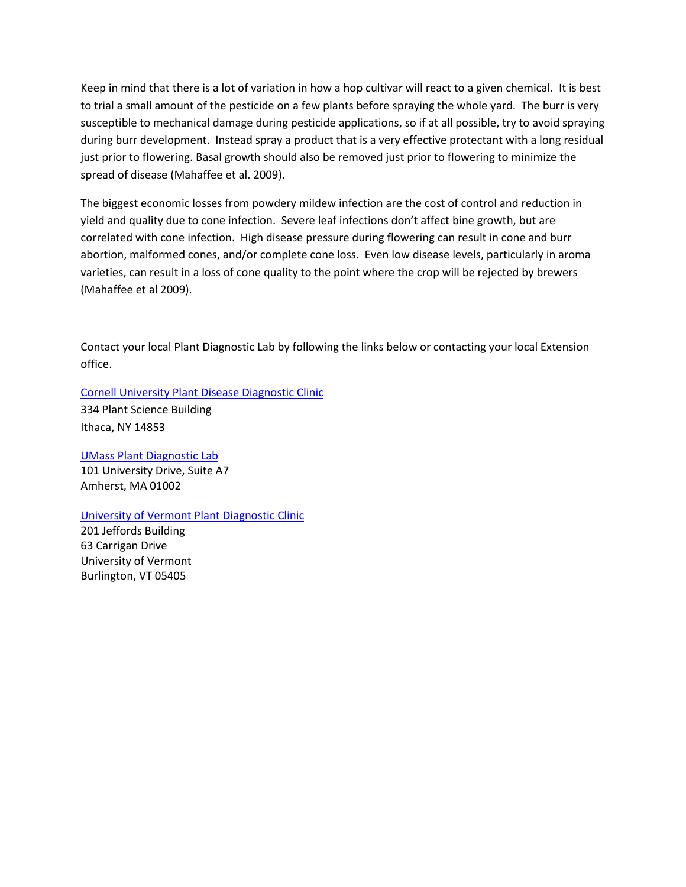Keep in mind that there is a lot of variation in how a hop cultivar will react to a given chemical. It is best to trial a small amount of the pesticide on a few plants before spraying the whole yard. The burr is very susceptible to mechanical damage during pesticide applications, so if at all possible, try to avoid spraying during burr development. Instead spray a product that is a very effective protectant with a long residual just prior to flowering. Basal growth should also be removed just prior to flowering to minimize the spread of disease (Mahaffee et al. 2009).

The biggest economic losses from powdery mildew infection are the cost of control and reduction in yield and quality due to cone infection. Severe leaf infections don't affect bine growth, but are correlated with cone infection. High disease pressure during flowering can result in cone and burr abortion, malformed cones, and/or complete cone loss. Even low disease levels, particularly in aroma varieties, can result in a loss of cone quality to the point where the crop will be rejected by brewers (Mahaffee et al 2009).

Contact your local Plant Diagnostic Lab by following the links below or contacting your local Extension office.

[Cornell University Plant Disease Diagnostic Clinic](http://plantclinic.cornell.edu/)

334 Plant Science Building Ithaca, NY 14853

[UMass Plant Diagnostic Lab](http://extension.umass.edu/agriculture/index.php/services/plant-problem-diagnostics) 101 University Drive, Suite A7 Amherst, MA 01002

### [University of Vermont Plant Diagnostic Clinic](http://www.uvm.edu/pss/pd/pdc/?Page=services.html)

201 Jeffords Building 63 Carrigan Drive University of Vermont Burlington, VT 05405